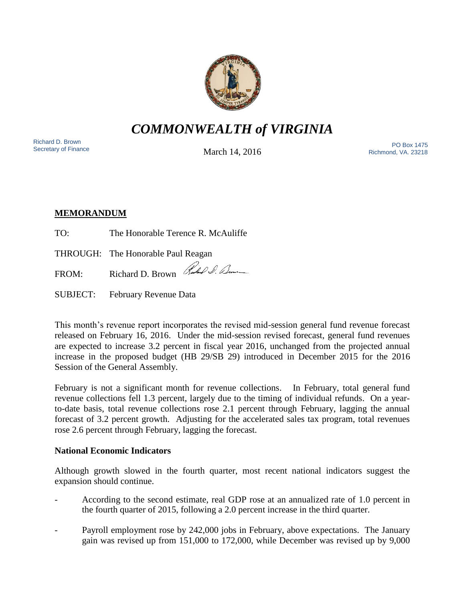

*COMMONWEALTH of VIRGINIA*

Richard D. Brown<br>Secretary of Finance

March 14, 2016

Nichard D. Brown<br>Secretary of Finance The PO Box 1475 Richmond, VA. 23218

# **MEMORANDUM**

TO: The Honorable Terence R. McAuliffe

THROUGH: The Honorable Paul Reagan

FROM: Richard D. Brown Rubel S. Deme

SUBJECT: February Revenue Data

This month's revenue report incorporates the revised mid-session general fund revenue forecast released on February 16, 2016. Under the mid-session revised forecast, general fund revenues are expected to increase 3.2 percent in fiscal year 2016, unchanged from the projected annual increase in the proposed budget (HB 29/SB 29) introduced in December 2015 for the 2016 Session of the General Assembly.

February is not a significant month for revenue collections. In February, total general fund revenue collections fell 1.3 percent, largely due to the timing of individual refunds. On a yearto-date basis, total revenue collections rose 2.1 percent through February, lagging the annual forecast of 3.2 percent growth. Adjusting for the accelerated sales tax program, total revenues rose 2.6 percent through February, lagging the forecast.

## **National Economic Indicators**

Although growth slowed in the fourth quarter, most recent national indicators suggest the expansion should continue.

- According to the second estimate, real GDP rose at an annualized rate of 1.0 percent in the fourth quarter of 2015, following a 2.0 percent increase in the third quarter.
- Payroll employment rose by 242,000 jobs in February, above expectations. The January gain was revised up from 151,000 to 172,000, while December was revised up by 9,000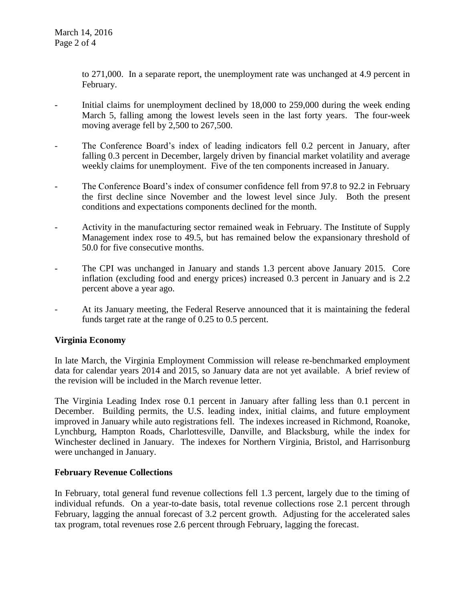to 271,000. In a separate report, the unemployment rate was unchanged at 4.9 percent in February.

- Initial claims for unemployment declined by 18,000 to 259,000 during the week ending March 5, falling among the lowest levels seen in the last forty years. The four-week moving average fell by 2,500 to 267,500.
- The Conference Board's index of leading indicators fell 0.2 percent in January, after falling 0.3 percent in December, largely driven by financial market volatility and average weekly claims for unemployment. Five of the ten components increased in January.
- The Conference Board's index of consumer confidence fell from 97.8 to 92.2 in February the first decline since November and the lowest level since July. Both the present conditions and expectations components declined for the month.
- Activity in the manufacturing sector remained weak in February. The Institute of Supply Management index rose to 49.5, but has remained below the expansionary threshold of 50.0 for five consecutive months.
- The CPI was unchanged in January and stands 1.3 percent above January 2015. Core inflation (excluding food and energy prices) increased 0.3 percent in January and is 2.2 percent above a year ago.
- At its January meeting, the Federal Reserve announced that it is maintaining the federal funds target rate at the range of 0.25 to 0.5 percent.

## **Virginia Economy**

In late March, the Virginia Employment Commission will release re-benchmarked employment data for calendar years 2014 and 2015, so January data are not yet available. A brief review of the revision will be included in the March revenue letter.

The Virginia Leading Index rose 0.1 percent in January after falling less than 0.1 percent in December. Building permits, the U.S. leading index, initial claims, and future employment improved in January while auto registrations fell. The indexes increased in Richmond, Roanoke, Lynchburg, Hampton Roads, Charlottesville, Danville, and Blacksburg, while the index for Winchester declined in January. The indexes for Northern Virginia, Bristol, and Harrisonburg were unchanged in January.

#### **February Revenue Collections**

In February, total general fund revenue collections fell 1.3 percent, largely due to the timing of individual refunds. On a year-to-date basis, total revenue collections rose 2.1 percent through February, lagging the annual forecast of 3.2 percent growth. Adjusting for the accelerated sales tax program, total revenues rose 2.6 percent through February, lagging the forecast.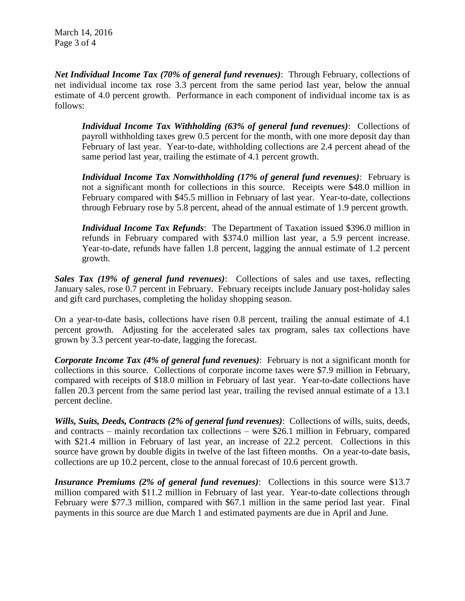*Net Individual Income Tax (70% of general fund revenues)*: Through February, collections of net individual income tax rose 3.3 percent from the same period last year, below the annual estimate of 4.0 percent growth. Performance in each component of individual income tax is as follows:

*Individual Income Tax Withholding (63% of general fund revenues)*: Collections of payroll withholding taxes grew 0.5 percent for the month, with one more deposit day than February of last year. Year-to-date, withholding collections are 2.4 percent ahead of the same period last year, trailing the estimate of 4.1 percent growth.

*Individual Income Tax Nonwithholding (17% of general fund revenues)*: February is not a significant month for collections in this source. Receipts were \$48.0 million in February compared with \$45.5 million in February of last year. Year-to-date, collections through February rose by 5.8 percent, ahead of the annual estimate of 1.9 percent growth.

*Individual Income Tax Refunds*: The Department of Taxation issued \$396.0 million in refunds in February compared with \$374.0 million last year, a 5.9 percent increase. Year-to-date, refunds have fallen 1.8 percent, lagging the annual estimate of 1.2 percent growth.

*Sales Tax (19% of general fund revenues)*: Collections of sales and use taxes, reflecting January sales, rose 0.7 percent in February. February receipts include January post-holiday sales and gift card purchases, completing the holiday shopping season.

On a year-to-date basis, collections have risen 0.8 percent, trailing the annual estimate of 4.1 percent growth. Adjusting for the accelerated sales tax program, sales tax collections have grown by 3.3 percent year-to-date, lagging the forecast.

*Corporate Income Tax (4% of general fund revenues)*: February is not a significant month for collections in this source. Collections of corporate income taxes were \$7.9 million in February, compared with receipts of \$18.0 million in February of last year. Year-to-date collections have fallen 20.3 percent from the same period last year, trailing the revised annual estimate of a 13.1 percent decline.

*Wills, Suits, Deeds, Contracts (2% of general fund revenues)*: Collections of wills, suits, deeds, and contracts – mainly recordation tax collections – were \$26.1 million in February, compared with \$21.4 million in February of last year, an increase of 22.2 percent. Collections in this source have grown by double digits in twelve of the last fifteen months. On a year-to-date basis, collections are up 10.2 percent, close to the annual forecast of 10.6 percent growth.

*Insurance Premiums (2% of general fund revenues)*: Collections in this source were \$13.7 million compared with \$11.2 million in February of last year. Year-to-date collections through February were \$77.3 million, compared with \$67.1 million in the same period last year. Final payments in this source are due March 1 and estimated payments are due in April and June.